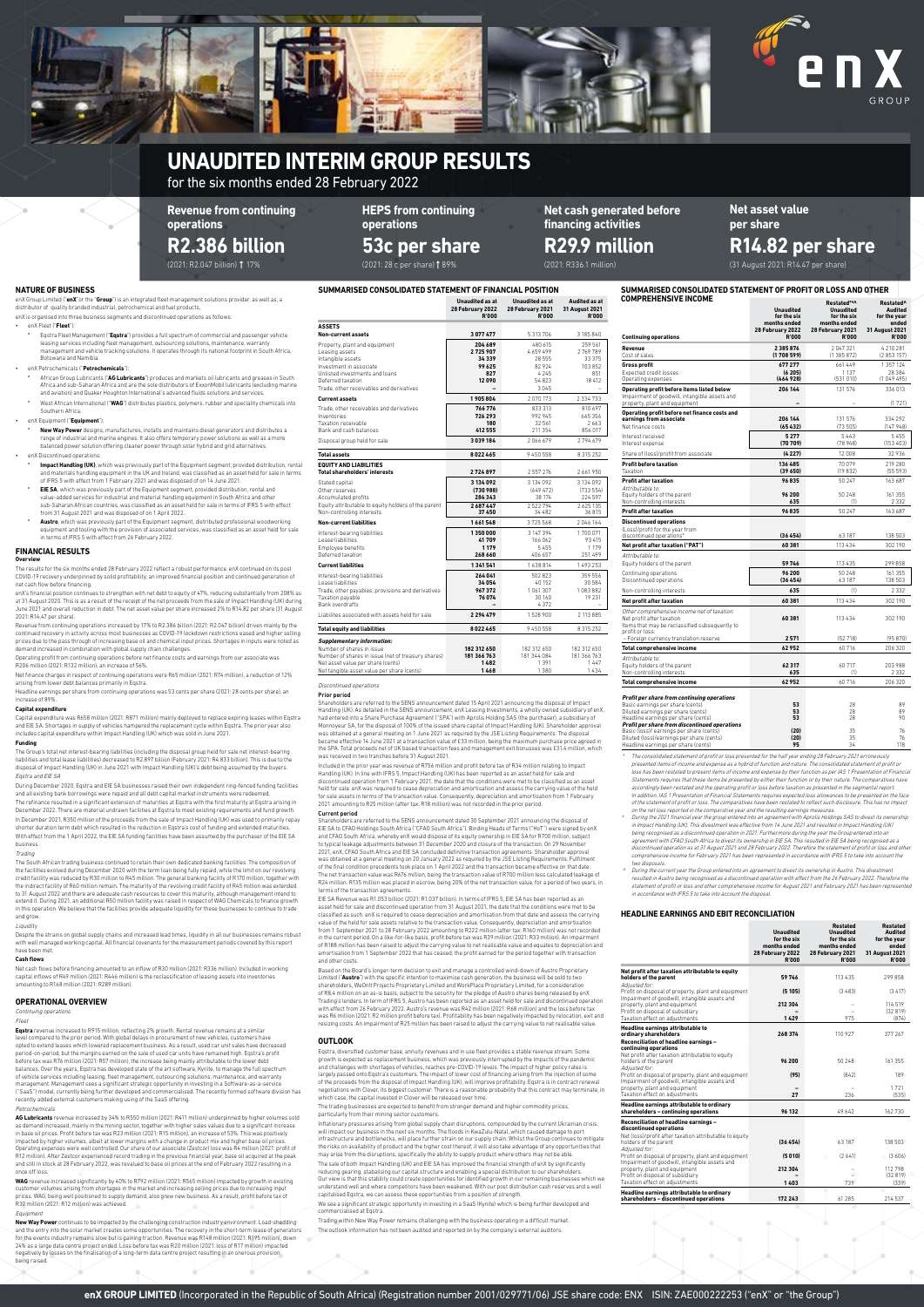| <b>Continuing operations</b>                                                                                                                                                                                  | <b>Unaudited</b><br>for the six<br>months ended<br>28 February 2022<br><b>R'000</b> | Restated**^<br><b>Unaudited</b><br>for the six<br>months ended<br>28 February 2021<br><b>R'000</b> | Restated <sup>^</sup><br>Audited<br>for the year<br>ended<br>31 August 2021<br><b>R'000</b> |
|---------------------------------------------------------------------------------------------------------------------------------------------------------------------------------------------------------------|-------------------------------------------------------------------------------------|----------------------------------------------------------------------------------------------------|---------------------------------------------------------------------------------------------|
| Revenue<br>Cost of sales                                                                                                                                                                                      | 2 3 8 5 8 7 6<br>(1708599)                                                          | 2047321<br>(1385872)                                                                               | 4 210 281<br>(2853157)                                                                      |
| <b>Gross profit</b><br><b>Expected credit losses</b><br>Operating expenses                                                                                                                                    | 677277<br>(6205)<br>(464928)                                                        | 661449<br>1 1 3 7<br>(531010)                                                                      | 1 357 124<br>28 384<br>(104949)                                                             |
| Operating profit before items listed below<br>Impairment of goodwill, intangible assets and<br>property, plant and equipment                                                                                  | 206 144                                                                             | 131 576                                                                                            | 336013<br>(1721)                                                                            |
| Operating profit before net finance costs and<br>earnings from associate<br>Net finance costs                                                                                                                 | 206 144<br>(65432)                                                                  | 131 576<br>(73505)                                                                                 | 334 292<br>(147948)                                                                         |
| Interest received<br>Interest expense                                                                                                                                                                         | 5277<br>(70709)                                                                     | 5443<br>(78948)                                                                                    | 5455<br>(153 403)                                                                           |
| Share of (loss)/profit from associate<br><b>Profit before taxation</b><br>Taxation                                                                                                                            | (4227)<br>136 485<br>(39650)                                                        | 12 008<br>70079<br>(19832)                                                                         | 32936<br>219 280<br>(55593)                                                                 |
| <b>Profit after taxation</b><br>Attributable to:                                                                                                                                                              | 96835                                                                               | 50 247                                                                                             | 163 687                                                                                     |
| Equity holders of the parent<br>Non-controlling interests<br><b>Profit after taxation</b>                                                                                                                     | 96 200<br>635<br>96835                                                              | 50 248<br>(1)<br>50 247                                                                            | 161 355<br>2 3 3 2<br>163 687                                                               |
| <b>Discontinued operations</b>                                                                                                                                                                                |                                                                                     |                                                                                                    |                                                                                             |
| (Loss)/profit for the year from<br>discontinued operations*                                                                                                                                                   | (36454)                                                                             | 63 187                                                                                             | 138 503                                                                                     |
| Net profit after taxation ("PAT")                                                                                                                                                                             | 60381                                                                               | 113 4 3 4                                                                                          | 302 190                                                                                     |
| Attributable to:<br>Equity holders of the parent                                                                                                                                                              | 59746                                                                               | 113 435                                                                                            | 299 858                                                                                     |
| Continuing operations<br>Discontinued operations                                                                                                                                                              | 96 200<br>(36454)                                                                   | 50 248<br>63 187                                                                                   | 161 355<br>138 503                                                                          |
| Non-controlling interests                                                                                                                                                                                     | 635                                                                                 | (1)                                                                                                | 2332                                                                                        |
| Net profit after taxation                                                                                                                                                                                     | 60 381                                                                              | 113 4 3 4                                                                                          | 302 190                                                                                     |
| Other comprehensive income net of taxation:<br>Net profit after taxation<br>Items that may be reclassified subsequently to<br>profit or loss:                                                                 | 60381                                                                               | 113 4 3 4                                                                                          | 302 190                                                                                     |
| - Foreign currency translation reserve                                                                                                                                                                        | 2571<br>62952                                                                       | (52718)<br>60716                                                                                   | (95870)<br>206 320                                                                          |
| <b>Total comprehensive income</b><br>Attributable to:                                                                                                                                                         |                                                                                     |                                                                                                    |                                                                                             |
| Equity holders of the parent<br>Non-controlling interests                                                                                                                                                     | 62 317<br>635                                                                       | 60717<br>(1)                                                                                       | 203 988<br>2332                                                                             |
| <b>Total comprehensive income</b>                                                                                                                                                                             | 62952                                                                               | 60716                                                                                              | 206 320                                                                                     |
| Profit per share from continuing operations<br>Basic earnings per share (cents)<br>Diluted earnings per share (cents)<br>Headline earnings per share (cents)<br>Profit per share from discontinued operations | 53<br>53<br>53                                                                      | 28<br>28<br>28                                                                                     | 89<br>89<br>90                                                                              |
| Basic (loss)/ earnings per share (cents)<br>Diluted (loss)/earnings per share (cents)                                                                                                                         | (20)<br>(20)                                                                        | 35<br>35                                                                                           | 76<br>76                                                                                    |

of the statement of profit or loss. The comparatives have been restated to reflect such disclosure. This has no impact<br>on the net loss reported in the comparative year and the resulting earnings measures.<br>" During the 2021 in Impact Handling (UK). This divestment was effective from 14 June 2021 and resulted in Impact Handling (UK) being recognised as a discontinued operation in 2021. Furthermore during the year the Group entered into an agreement with CFAO South Africa to divest its ownership in EIE SA. This resulted in EIE SA being recognised as a discontinued operation as at 31 August 2021 and 28 February 2022. Therefore the statement of profit or loss and other comprehensive income for February 2021 has been represented in accordance with IFRS 5 to take into account the

two disposals. ^ During the current year the Group entered into an agreement to divest its ownership in Austro. This divestment resulted in Austro being recognised as a discontinued operation with effect from the 26 February 2022. Therefore the<br>statement of profit or loss and other comprehensive income for August 2021 and February 2021 has been rep

Headline earnings per share (cents) **95** 34 118

 The consolidated statement of profit or loss presented for the half year ending 28 February 2021 erroneously presented items of income and expense as a hybrid of function and nature. The consolidated statement of profit or loss has been restated to present items of income and expense by their function as per IAS 1 Presentation of Financial Statements requires that these items be presented by either their function or by their nature. The comparatives have<br>accordingly been restated and the operating profit or loss before taxation as presented in the segmental In addition, IAS 1 Presentation of Financial Statements requires expected loss allowances to be presented on the face

- Impact Handling (UK), which was previously part of the Equipment segment, provided distribution, rental and materials handling equipment in the UK and Ireland, was classified as an asset held for sale in terms of IFRS 5 with effect from 1 February 2021 and was disposed of on 14 June 2021.
- e **EIE SA**, which was previously part of the Equipment segment, provided distribution, rental and<br>value-added services for industrial and material handling equipment in South Africa and other<br>sub-Saharan African countries, from 31 August 2021 and was disposed of on 1 April 2022.
- Austro, which was previously part of the Equipment segment, distributed professional woodworking equipment and tooling with the provision of associated services, was classified as an asset held for sale in terms of IFRS 5 with effect from 26 February 2022.

The results for the six months ended 28 February 2022 reflect a robust performance. enX continued on its post<br>COVID-19 recovery underpinned by solid profitability, an improved financial position and continued generation of net cash flow before financing.

Revenue from continuing operations increased by 17% to R2.386 billion (2021: R2.047 billion) driven mainly by the continued recovery in activity across most businesses as COVID-19 lockdown restrictions eased and higher selling prices due to the pass through of increasing base oil and chemical input prices. Shortages in inputs were noted as<br>demand increased in combination with global supply chain challenges.

**SUMMARISED CONSOLIDATED STATEMENT OF PROFIT OR LOSS AND OTHER COMPREHENSIVE INCOME**

# **NATURE OF BUSINESS**

enX Group Limited ("**enX**"or the "**Group**") is an integrated fleet management solutions provider, as well as, a distributor of quality branded industrial, petrochemical and fuel products.

- enX is organised into three business segments and discontinued operations as follows: • enX Fleet ("**Fleet**"):
	- Eqstra Fleet Management ("Eqstra") provides a full spectrum of commercial and passenger vehicle leasing services including fleet management, outsourcing solutions, maintenance, warranty management and vehicle tracking solutions. It operates through its national footprint in South Africa, Botswana and Namibia.

The refinance resulted in a significant extension of maturities at Eqstra with the first maturity at Eqstra arising in<br>December 2022. There are material undrawn facilities at Eqstra to meet existing requirements and fund g In December 2021, R350 million of the proceeds from the sale of Impact Handling (UK) was used to primarily repay shorter duration term debt which resulted in the reduction in Eqstra's cost of funding and extended maturities. With effect from the 1 April 2022, the EIE SA funding facilities have been assumed by the purchaser of the EIE SA business.

# • enX Petrochemicals ("**Petrochemicals**"):

The South African trading business continued to retain their own dedicated banking facilities. The composition of<br>the facilities evolved during December 2020 with the term loan being fully repaid, while the limit on our re credit facility was reduced by R30 million to R45 million. The general banking facility of R170 million, together with<br>the indirect facility of R60 million remain. The maturity of the revolving credit facility of R45 milli extend it. During 2021, an additional R50 million facility was raised in respect of WAG Chemicals to finance growth<br>in this operation. We believe that the facilities provide adequate liquidity for these businesses to conti and grow.

Despite the strains on global supply chains and increased lead times, liquidity in all our businesses remains robust with well managed working capital. All financial covenants for the measurement periods covered by this report have been met

- º African Group Lubricants ("**AG Lubricants**") produces and markets oil lubricants and greases in South Africa and sub-Saharan Africa and are the sole distributors of ExxonMobil lubricants (excluding marine
- and aviation) and Quaker Houghton International's advanced fluids solutions and services. West African International ("WAG") distributes plastics, polymers, rubber and speciality chemicals into Southern Africa.

## • enX Equipment ("**Equipment**"):

º **New Way Power** designs, manufactures, installs and maintains diesel generators and distributes a range of industrial and marine engines. It also offers temporary power solutions as well as a more balanced power solution offering cleaner power through solar hybrid and grid alternatives.

# • enX Discontinued operations:

**WAG** revenue increased significantly by 40% to R792 million (2021: R565 million) impacted by growth in existing<br>customer volumes arising from shortages in the market and increasing selling prices due to increasing input prices. WAG, being well positioned to supply demand, also grew new business. As a result, profit before tax of R30 million (2021: R12 million) was achieved.

# **FINANCIAL RESULTS**

## **Overview**

enX's financial position continues to strengthen with net debt to equity of 47%, reducing substantially from 208% as at 31 August 2020. This is as a result of the receipt of the net proceeds from the sale of Impact Handling (UK) during June 2021 and overall reduction in debt. The net asset value per share increased 2% to R14.82 per share (31 August 2021: R14.47 per share).

Operating profit from continuing operations before net finance costs and earnings from our associate was R206 million (2021: R132 million), an increase of 56%.

Net finance charges in respect of continuing operations were R65 million (2021: R74 million), a reduction of 12% arising from lower debt balances primarily in Eqstra.

Headline earnings per share from continuing operations was 53 cents per share (2021: 28 cents per share), an increase of 89%.

## **Capital expenditure**

Capital expenditure was R658 million (2021: R871 million) mainly deployed to replace expiring leases within Eqstra and EIE SA. Shortages in supply of vehicles hampered the replacement cycle within Eqstra. The prior year also includes capital expenditure within Impact Handling (UK) which was sold in June 2021.

#### **Funding**

The Group's total net interest-bearing liabilities (including the disposal group held for sale net interest-bearing liabilities and total lease liabilities) decreased to R2.897 billion (February 2021: R4.833 billion). This is due to the<br>disposal of Impact Handling (UK) in June 2021 with Impact Handling (UK)'s debt being assumed by the b Eqstra and EIE SA

During December 2020, Eqstra and EIE SA businesses raised their own independent ring-fenced funding facilities<br>and all existing bank borrowings were repaid and all debt capital market instruments were redeemed.

# Trading

Included in the prior year was revenue of R756 million and profit before tax of R34 million relating to Impact<br>Handling (UK). In line with IFRS 5, Impact Handling (UK) has been reported as an asset held for sale and discontinued operation from 1 February 2021, the date that the conditions were met to be classified as an asset held for sale. enX was required to cease depreciation and amortisation and assess the carrying value of the held for sale assets in terms of the transaction value. Consequently, depreciation and amortisation from 1 February 2021 amounting to R25 million (after tax: R18 million) was not recorded in the prior period.

### Liquidity

### **Cash flows**

Based on the Board's longer-term decision to exit and manage a controlled wind-down of Austro Proprietary Limited ("**Austro**") with the specific intention to maximise cash generation, the business will be sold to two shareholders, WeOnIt Projects Proprietary Limited and WorkPlace Proprietary Limited, for a consideration of R8.4 million on an as-is basis, subject to the security for the pledge of Austro shares being released by enX<br>Trading's lenders. In term of IFRS 5, Austro has been reported as an asset held for sale and discontinued ope with effect from 26 February 2022. Austro's revenue was R42 million (2021: R68 million) and the loss before tax was R6 million (2021: R2 million profit before tax). Profitability has been negatively impacted by relocation, exit and<br>resizing costs. An impairment of R25 million has been raised to adjust the carrying value to net reali

Net cash flows before financing amounted to an inflow of R30 million (2021: R336 million). Included in working capital inflows of R49 million (2021: R446 million) is the reclassification of leasing assets into inventories amounting to R168 million (2021: R289 million).

# **OPERATIONAL OVERVIEW**

#### ing operations

#### Fleet

**Eqstra** revenue increased to R915 million, reflecting 2% growth. Rental revenue remains at a similar level compared to the prior period. With global delays in procurement of new vehicles, customers have opted to extend leases which lowered replacement business. As a result, used car unit sales have decreased period-on-period, but the margins earned on the sale of used car units have remained high. Eqstra's profit before tax was R76 million (2021: R57 million), the increase being mainly attributable to the lower debt balances. Over the years, Eqstra has developed state of the art software, Kynite, to manage the full spectrum of vehicle services including leasing, fleet management, outsourcing solutions, maintenance, and warranty management. Management sees a significant strategic opportunity in investing in a Software-as-a-service (''SaaS'') model, currently being further developed and commercialised. The recently formed software division has recently added external customers making using of the SaaS offering. Petrochemicals

**AG Lubricants** revenue increased by 34% to R550 million (2021: R411 million) underpinned by higher volumes sold as demand increased, mainly in the mining sector, together with higher sales values due to a significant increase<br>in base oil prices. Profit before tax was R23 million (2021: R15 million), an increase of 53%. This was posi impacted by higher volumes, albeit at lower margins with a change in product mix and higher base oil prices. Operating expenses were well controlled. Our share of our associate (Zestcor) loss was R4 million (2021: profit of R12 million). After Zestcor experienced record trading in the previous financial year, base oil acquired at the peak and still in stock at 28 February 2022, was revalued to base oil prices at the end of February 2022 resulting in a once off loss.

## Equipment

**New Way Power** continues to be impacted by the challenging construction industry environment. Load-shedding and the entry into the solar market creates some opportunities. The recovery in the short-term lease of generators for the events industry remains slow but is gaining traction. Revenue was R148 million (2021: R195 million), down 24% as a large data centre project ended. Loss before tax was R20 million (2021: loss of R17 million) impacted negatively by losses on the finalisation of a long-term data centre project resulting in an onerous provision being raised.

**SUMMARISED CONSOLIDATED STATEMENT OF FINANCIAL POSITION**

|                                                                                                                                                                                                         | <b>Unaudited as at</b><br>28 February 2022<br><b>R'000</b> | <b>Unaudited as at</b><br>28 February 2021<br><b>R'000</b>    | <b>Audited as at</b><br>31 August 2021<br><b>R'000</b>   |
|---------------------------------------------------------------------------------------------------------------------------------------------------------------------------------------------------------|------------------------------------------------------------|---------------------------------------------------------------|----------------------------------------------------------|
| <b>ASSETS</b>                                                                                                                                                                                           |                                                            |                                                               |                                                          |
| Non-current assets                                                                                                                                                                                      | 3077477                                                    | 5 313 706                                                     | 3 185 840                                                |
| Property, plant and equipment<br>Leasing assets<br>Intangible assets<br>Investment in associate<br>Unlisted investments and loans<br>Deferred taxation<br>Trade, other receivables and derivatives      | 204 689<br>2725907<br>34 339<br>99625<br>827<br>12090      | 480 615<br>4659499<br>28555<br>82924<br>4245<br>54823<br>3045 | 259 561<br>2769789<br>33 375<br>103 852<br>851<br>18 412 |
| <b>Current assets</b>                                                                                                                                                                                   | 1905804                                                    | 2070173                                                       | 2 3 3 4 7 3 3                                            |
| Trade, other receivables and derivatives<br>Inventories<br>Taxation receivable<br>Bank and cash balances<br>Disposal group held for sale                                                                | 766776<br>726 293<br>180<br>412 555<br>3039184             | 833 313<br>992945<br>32 561<br>211 354<br>2066679             | 810 697<br>665356<br>2663<br>856 017<br>2794679          |
| <b>Total assets</b>                                                                                                                                                                                     | 8022465                                                    | 9450558                                                       | 8 3 1 5 2 5 2                                            |
|                                                                                                                                                                                                         |                                                            |                                                               |                                                          |
| <b>EQUITY AND LIABILITIES</b><br><b>Total shareholders' interests</b>                                                                                                                                   | 2724897                                                    | 2557276                                                       | 2661950                                                  |
| Stated capital<br>Other reserves<br>Accumulated profits<br>Equity attributable to equity holders of the parent<br>Non-controlling interests                                                             | 3134092<br>(730988)<br>284 343<br>2687447<br>37 450        | 3 134 092<br>(649472)<br>38 174<br>2522794<br>34482           | 3 134 092<br>(733554)<br>224 597<br>2625135<br>36815     |
| <b>Non-current liabilities</b>                                                                                                                                                                          | 1661548                                                    | 3725568                                                       | 2046164                                                  |
| Interest-bearing liabilities<br>Lease liabilities<br>Employee benefits<br>Deferred taxation                                                                                                             | 1350000<br>41709<br>1 1 7 9<br>268 660                     | 3 147 394<br>166 062<br>5455<br>406 657                       | 1700071<br>93 415<br>1 1 7 9<br>251 499                  |
| <b>Current liabilities</b>                                                                                                                                                                              | 1 341 541                                                  | 1638814                                                       | 1493253                                                  |
| Interest-bearing liabilities<br>Lease liabilities<br>Trade, other payables, provisions and derivatives<br>Taxation payable<br>Bank overdrafts                                                           | 264041<br>34 054<br>967372<br>76074                        | 502823<br>40 152<br>1 061 307<br>30 160<br>4372               | 359 556<br>30 584<br>1083882<br>19 2 31                  |
| Liabilites associated with assets held for sale                                                                                                                                                         | 2294479                                                    | 1528900                                                       | 2 113 885                                                |
| <b>Total equity and liabilities</b>                                                                                                                                                                     | 8022465                                                    | 9450558                                                       | 8 3 1 5 2 5 2                                            |
| <b>Supplementary information:</b><br>Number of shares in issue<br>Number of shares in issue (net of treasury shares)<br>Net asset value per share (cents)<br>Net tangible asset value ner share (cents) | 182 312 650<br>181 366 763<br>1482<br>1468                 | 182 312 650<br>181 344 084<br>1391<br>1.380                   | 182 312 650<br>181 366 763<br>1447<br>1434               |

## **HEADLINE EARNINGS AND EBIT RECONCILIATION**

|                                                                                                                                                                           | <b>Unaudited</b><br>for the six<br>months ended<br>28 February 2022<br><b>R'000</b> | <b>Restated</b><br><b>Unaudited</b><br>for the six<br>months ended<br>28 February 2021<br><b>R'000</b> | <b>Restated</b><br><b>Audited</b><br>for the year<br>ended<br>31 August 2021<br><b>R'000</b> |
|---------------------------------------------------------------------------------------------------------------------------------------------------------------------------|-------------------------------------------------------------------------------------|--------------------------------------------------------------------------------------------------------|----------------------------------------------------------------------------------------------|
| Net profit after taxation attributable to equity<br>holders of the parent<br>Adiusted for:                                                                                | 59746                                                                               | 113 435                                                                                                | 299858                                                                                       |
| Profit on disposal of property, plant and equipment<br>Impairment of goodwill, intangible assets and<br>property, plant and equipment<br>Profit on disposal of subsidiary | (5105)                                                                              | (3483)                                                                                                 | (3417)                                                                                       |
|                                                                                                                                                                           | 212 304                                                                             |                                                                                                        | 114519<br>(32819)                                                                            |
| Taxation effect on adiustments<br>Headline earnings attributable to<br>ordinary shareholders<br>Reconciliation of headline earnings -<br>continuing operations            | 1429<br>268374                                                                      | 975<br>110 927                                                                                         | (874)<br>377 267                                                                             |
| Net profit after taxation attributable to equity<br>holders of the parent<br>Adjusted for:                                                                                | 96 200                                                                              | 50 248                                                                                                 | 161 355<br>189                                                                               |
| Profit on disposal of property, plant and equipment<br>Impairment of goodwill, intangible assets and<br>property, plant and equipment<br>Taxation effect on adjustments   | (95)<br>27                                                                          | (842)<br>236                                                                                           | 1721<br>(535)                                                                                |
| Headline earnings attributable to ordinary<br>shareholders - continuing operations                                                                                        | 96 132                                                                              | 49642                                                                                                  | 162730                                                                                       |
| Reconciliation of headline earnings -<br>discontinued operations<br>Net (loss)/profit after taxation attributable to equity<br>holders of the parent                      | (36454)                                                                             | 63 187                                                                                                 | 138 503                                                                                      |
| Adiusted for:<br>Profit on disposal of property, plant and equipment                                                                                                      | (5010)                                                                              | (2641)                                                                                                 | (3606)                                                                                       |
| Impairment of goodwill, intangible assets and<br>property, plant and equipment<br>Profit on disposal of subsidiary<br>Taxation effect on adiustments                      | 212 304<br>1403                                                                     | 739                                                                                                    | 112798<br>(32819)<br>(339)                                                                   |
| Headline earnings attributable to ordinary<br>shareholders - discontinued operations                                                                                      | 172 243                                                                             | 61 285                                                                                                 | 214537                                                                                       |

**Net asset value per share**

(31 August 2021: R14.47 per share)

# **R14.82 per share**

(2021: R2.047 billion) 17% **R2.386 billion** 

**Revenue from continuing operations**

**Net cash generated before financing activities**

# **R29.9 million** (2021: R336.1 million)

**HEPS from continuing** 

**operations**

## Discontinued operations

Prior period

Shareholders are referred to the SENS announcement dated 15 April 2021 announcing the disposal of Impact Handling (UK). As detailed in the SENS announcement, enX Leasing Investments, a wholly owned subsidiary of enX,<br>had entered into a Share Purchase Agreement ("SPA") with Aprolis Holding SAS (the purchaser), a subsidiary of<br> was obtained at a general meeting on 1 June 2021 as required by the JSE Listing Requirements. The disposal became effective 14 June 2021 at a transaction value of £33 million, being the maximum purchase price agreed in the SPA. Total proceeds net of UK based transaction fees and management exit bonusses was £31.4 million, which was received in two tranches before 31 August 2021.

# Current period

Shareholders are referred to the SENS announcement dated 30 September 2021 announcing the disposal of EIE SA to CFAO Holdings South Africa ("CFAO South Africa"). Binding Heads of Terms ("HoT") were signed by enX<br>and CFAO South Africa, whereby enX would dispose of its equity ownership in EIE SA for R700 million, subject<br>to 2021, enX, CFAO South Africa and EIE SA concluded definitive transaction agreements. Shareholder approval was obtained at a general meeting on 20 January 2022 as required by the JSE Listing Requirements. Fulfilment of the final condition precedents took place on 1 April 2022 and the transaction became effective on that date. The net transaction value was R676 million, being the transaction value of R700 million less calculated leakage of<br>R24 million. R135 million was placed in escrow, being 20% of the net transaction value, for a period of two terms of the transaction agreements.

EIE SA Revenue was R1.053 billion (2021: R1.037 billion). In terms of IFRS 5, EIE SA has been reported as an asset held for sale and discontinued operation from 31 August 2021, the date that the conditions were met to be classified as such. enX is required to cease depreciation and amortisation from that date and assess the carrying<br>value of the held for sale assets relative to the transaction value. Consequently, depreciation and amortisa from 1 September 2021 to 28 February 2022 amounting to R222 million (after tax: R160 million) was not recorded<br>in the current period. On a like-for-like basis, profit before tax was R39 million (2021: R33 million). An impa of R188 million has been raised to adjust the carrying value to net realisable value and equates to depreciation and amortisation from 1 September 2022 that has ceased, the profit earned for the period together with transaction and other costs.

# **OUTLOOK**

 $\alpha$ 

D.

Eqstra, diversified customer base, annuity revenues and in use fleet provides a stable revenue stream. Some growth is expected as replacement business, which was previously interrupted by the impacts of the pandemic and challenges with shortages of vehicles, reaches pre-COVID-19 levels. The impact of higher policy rates is largely passed onto Eqstra's customers. The impact of lower cost of financing arising from the injection of some of the proceeds from the disposal of Impact Handling (UK), will improve profitability. Eqstra is in contract renewal<br>negotiations with Clover, its biggest customer. There is a reasonable probability that this contract may which case, the capital invested in Clover will be released over time.

The trading businesses are expected to benefit from stronger demand and higher commodity prices, particularly from their mining sector customers.

Inflationary pressures arising from global supply chain disruptions, compounded by the current Ukrainian crisis, will impact our business in the next six months. The floods in KwaZulu-Natal, which caused damage to port infrastructure and bottlenecks, will place further strain on our supply chain. Whilst the Group continues to mitigate the risks on availability of product and the higher cost thereof, it will also take advantage of any opportunities that may arise from the disruptions, specifically the ability to supply product where others may not be able. The sale of both Impact Handling (UK) and EIE SA has improved the financial strength of enX by significantly reducing gearing, stabalising our capital structure and enabling a special distribution to our shareholders.<br>Our view is that this stability could create opportunities for identified growth in our remaining businesses whic understand well and where competitors have been weakened. With our post distribution cash reserves and a well capitalised Eqstra, we can assess these opportunities from a position of strength.

We see a significant strategic opportunity in investing in a SaaS (Kynite) which is being further developed and commercialised at Eqstra.

Trading within New Way Power remains challenging with the business operating in a difficult market. The outlook information has not been audited and reported on by the company's external auditors.

enX GROUP LIMITED (Incorporated in the Republic of South Africa) (Registration number 2001/029771/06) JSE share code: ENX ISIN: ZAE000222253 ("enX" or "the Group")



# **UNAUDITED INTERIM GROUP RESULTS**

**53c per share**

(2021: 28 c per share) **1** 89%

for the six months ended 28 February 2022